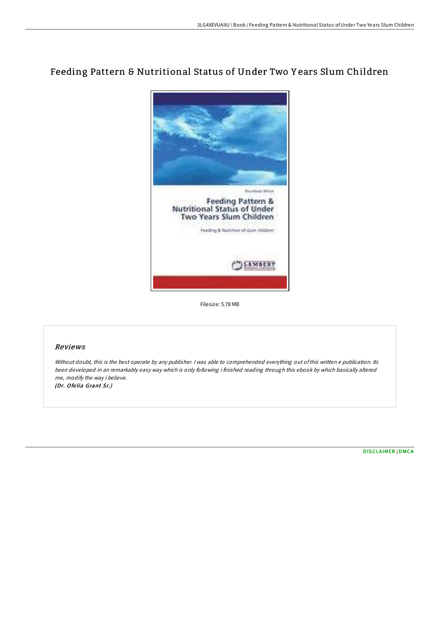## Feeding Pattern & Nutritional Status of Under Two Y ears Slum Children



Filesize: 5.78 MB

## Reviews

Without doubt, this is the best operate by any publisher. <sup>I</sup> was able to comprehended everything out ofthis written <sup>e</sup> publication. Its been developed in an remarkably easy way which is only following i finished reading through this ebook by which basically altered me, modify the way i believe. (Dr. Ofe lia Grant Sr.)

[DISCLAIMER](http://almighty24.tech/disclaimer.html) | [DMCA](http://almighty24.tech/dmca.html)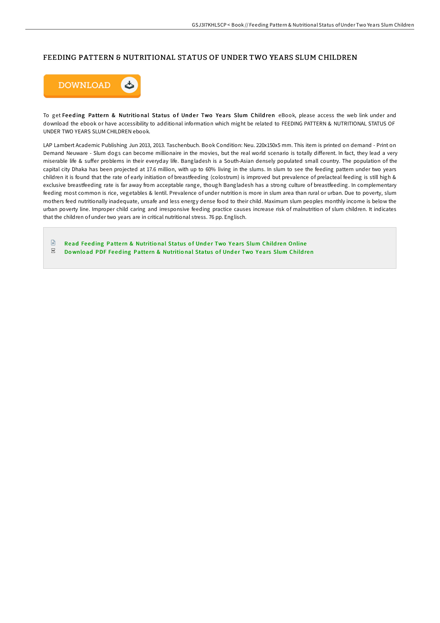## FEEDING PATTERN & NUTRITIONAL STATUS OF UNDER TWO YEARS SLUM CHILDREN



To get Feeding Pattern & Nutritional Status of Under Two Years Slum Children eBook, please access the web link under and download the ebook or have accessibility to additional information which might be related to FEEDING PATTERN & NUTRITIONAL STATUS OF UNDER TWO YEARS SLUM CHILDREN ebook.

LAP Lambert Academic Publishing Jun 2013, 2013. Taschenbuch. Book Condition: Neu. 220x150x5 mm. This item is printed on demand - Print on Demand Neuware - Slum dogs can become millionaire in the movies, but the real world scenario is totally different. In fact, they lead a very miserable life & suffer problems in their everyday life. Bangladesh is a South-Asian densely populated small country. The population of the capital city Dhaka has been projected at 17.6 million, with up to 60% living in the slums. In slum to see the feeding pattern under two years children it is found that the rate of early initiation of breastfeeding (colostrum) is improved but prevalence of prelacteal feeding is still high & exclusive breastfeeding rate is far away from acceptable range, though Bangladesh has a strong culture of breastfeeding. In complementary feeding most common is rice, vegetables & lentil. Prevalence of under nutrition is more in slum area than rural or urban. Due to poverty, slum mothers feed nutritionally inadequate, unsafe and less energy dense food to their child. Maximum slum peoples monthly income is below the urban poverty line. Improper child caring and irresponsive feeding practice causes increase risk of malnutrition of slum children. It indicates that the children of under two years are in critical nutritional stress. 76 pp. Englisch.

 $\mathbb{R}$ Read Feeding Pattern & [Nutritio](http://almighty24.tech/feeding-pattern-amp-nutritional-status-of-under-.html)nal Status of Under Two Years Slum Children Online  $_{\rm PDF}$ Download PDF Feeding Pattern & [Nutritio](http://almighty24.tech/feeding-pattern-amp-nutritional-status-of-under-.html)nal Status of Under Two Years Slum Children